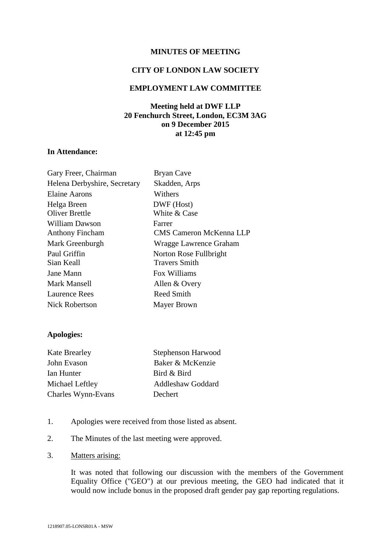## **MINUTES OF MEETING**

### **CITY OF LONDON LAW SOCIETY**

## **EMPLOYMENT LAW COMMITTEE**

# **Meeting held at DWF LLP 20 Fenchurch Street, London, EC3M 3AG on 9 December 2015 at 12:45 pm**

# **In Attendance:**

| <b>Bryan Cave</b>       |
|-------------------------|
| Skadden, Arps           |
| Withers                 |
| DWF (Host)              |
| White & Case            |
| Farrer                  |
| CMS Cameron McKenna LLP |
| Wragge Lawrence Graham  |
| Norton Rose Fullbright  |
| <b>Travers Smith</b>    |
| Fox Williams            |
| Allen & Overy           |
| <b>Reed Smith</b>       |
| Mayer Brown             |
|                         |

## **Apologies:**

| <b>Kate Brearley</b> | <b>Stephenson Harwood</b> |
|----------------------|---------------------------|
| John Evason          | Baker & McKenzie          |
| Ian Hunter           | Bird & Bird               |
| Michael Leftley      | <b>Addleshaw Goddard</b>  |
| Charles Wynn-Evans   | Dechert                   |

- 1. Apologies were received from those listed as absent.
- 2. The Minutes of the last meeting were approved.
- 3. Matters arising:

It was noted that following our discussion with the members of the Government Equality Office ("GEO") at our previous meeting, the GEO had indicated that it would now include bonus in the proposed draft gender pay gap reporting regulations.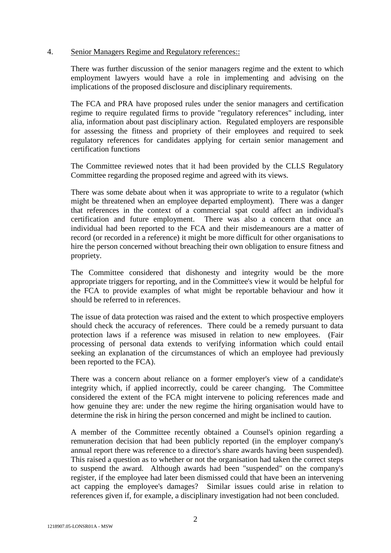### 4. Senior Managers Regime and Regulatory references::

There was further discussion of the senior managers regime and the extent to which employment lawyers would have a role in implementing and advising on the implications of the proposed disclosure and disciplinary requirements.

The FCA and PRA have proposed rules under the senior managers and certification regime to require regulated firms to provide "regulatory references" including, inter alia, information about past disciplinary action. Regulated employers are responsible for assessing the fitness and propriety of their employees and required to seek regulatory references for candidates applying for certain senior management and certification functions

The Committee reviewed notes that it had been provided by the CLLS Regulatory Committee regarding the proposed regime and agreed with its views.

There was some debate about when it was appropriate to write to a regulator (which might be threatened when an employee departed employment). There was a danger that references in the context of a commercial spat could affect an individual's certification and future employment. There was also a concern that once an individual had been reported to the FCA and their misdemeanours are a matter of record (or recorded in a reference) it might be more difficult for other organisations to hire the person concerned without breaching their own obligation to ensure fitness and propriety.

The Committee considered that dishonesty and integrity would be the more appropriate triggers for reporting, and in the Committee's view it would be helpful for the FCA to provide examples of what might be reportable behaviour and how it should be referred to in references.

The issue of data protection was raised and the extent to which prospective employers should check the accuracy of references. There could be a remedy pursuant to data protection laws if a reference was misused in relation to new employees. (Fair processing of personal data extends to verifying information which could entail seeking an explanation of the circumstances of which an employee had previously been reported to the FCA).

There was a concern about reliance on a former employer's view of a candidate's integrity which, if applied incorrectly, could be career changing. The Committee considered the extent of the FCA might intervene to policing references made and how genuine they are: under the new regime the hiring organisation would have to determine the risk in hiring the person concerned and might be inclined to caution.

A member of the Committee recently obtained a Counsel's opinion regarding a remuneration decision that had been publicly reported (in the employer company's annual report there was reference to a director's share awards having been suspended). This raised a question as to whether or not the organisation had taken the correct steps to suspend the award. Although awards had been "suspended" on the company's register, if the employee had later been dismissed could that have been an intervening act capping the employee's damages? Similar issues could arise in relation to references given if, for example, a disciplinary investigation had not been concluded.